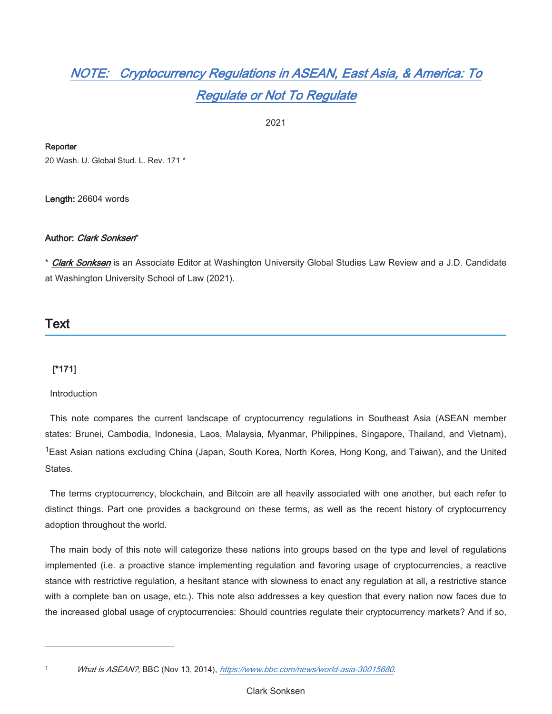# NOTE: Cryptocurrency Regulations in ASEAN, East Asia, & America: To **Regulate or Not To Regulate**

2021

# Reporter

20 Wash, U. Global Stud, L. Rev. 171 \*

Length: 26604 words

# Author: Clark Sonksen\*

\* Clark Sonksen is an Associate Editor at Washington University Global Studies Law Review and a J.D. Candidate at Washington University School of Law (2021).

# Text

# $[1171]$

Introduction

This note compares the current landscape of cryptocurrency regulations in Southeast Asia (ASEAN member states: Brunei, Cambodia, Indonesia, Laos, Malaysia, Myanmar, Philippines, Singapore, Thailand, and Vietnam), <sup>1</sup>East Asian nations excluding China (Japan, South Korea, North Korea, Hong Kong, and Taiwan), and the United States.

The terms cryptocurrency, blockchain, and Bitcoin are all heavily associated with one another, but each refer to distinct things. Part one provides a background on these terms, as well as the recent history of cryptocurrency adoption throughout the world.

The main body of this note will categorize these nations into groups based on the type and level of regulations implemented (i.e. a proactive stance implementing regulation and favoring usage of cryptocurrencies, a reactive stance with restrictive regulation, a hesitant stance with slowness to enact any regulation at all, a restrictive stance with a complete ban on usage, etc.). This note also addresses a key question that every nation now faces due to the increased global usage of cryptocurrencies: Should countries regulate their cryptocurrency markets? And if so,

 $\overline{1}$ 

What is ASEAN?, BBC (Nov 13, 2014), https://www.bbc.com/news/world-asia-30015680.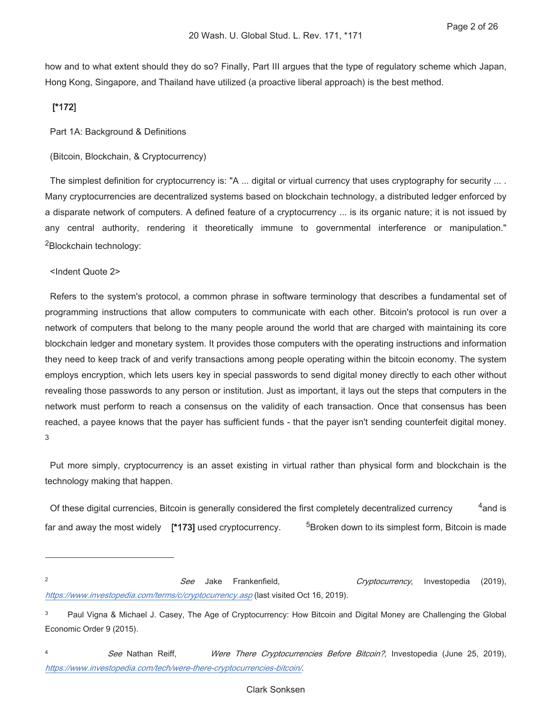how and to what extent should they do so? Finally, Part III argues that the type of regulatory scheme which Japan, Hong Kong, Singapore, and Thailand have utilized (a proactive liberal approach) is the best method.

# $[^*172]$

Part 1A: Background & Definitions

(Bitcoin, Blockchain, & Cryptocurrency)

The simplest definition for cryptocurrency is: "A ... digital or virtual currency that uses cryptography for security ... . Many cryptocurrencies are decentralized systems based on blockchain technology, a distributed ledger enforced by a disparate network of computers. A defined feature of a cryptocurrency ... is its organic nature; it is not issued by any central authority, rendering it theoretically immune to governmental interference or manipulation." <sup>2</sup>Blockchain technology:

<Indent Quote 2>

Refers to the system's protocol, a common phrase in software terminology that describes a fundamental set of programming instructions that allow computers to communicate with each other. Bitcoin's protocol is run over a network of computers that belong to the many people around the world that are charged with maintaining its core blockchain ledger and monetary system. It provides those computers with the operating instructions and information they need to keep track of and verify transactions among people operating within the bitcoin economy. The system employs encryption, which lets users key in special passwords to send digital money directly to each other without revealing those passwords to any person or institution. Just as important, it lays out the steps that computers in the network must perform to reach a consensus on the validity of each transaction. Once that consensus has been reached, a payee knows that the payer has sufficient funds - that the payer isn't sending counterfeit digital money. 3

Put more simply, cryptocurrency is an asset existing in virtual rather than physical form and blockchain is the technology making that happen.

 $^4$ and is Of these digital currencies, Bitcoin is generally considered the first completely decentralized currency far and away the most widely  $[^*173]$  used cryptocurrency. <sup>5</sup>Broken down to its simplest form, Bitcoin is made

 $\mathfrak{p}$ See Jake Frankenfield.  $(2019),$ Cryptocurrency, Investopedia https://www.investopedia.com/terms/c/cryptocurrency.asp (last visited Oct 16, 2019).

 $\overline{3}$ Paul Vigna & Michael J. Casey, The Age of Cryptocurrency: How Bitcoin and Digital Money are Challenging the Global Economic Order 9 (2015).

 $\overline{4}$ See Nathan Reiff. Were There Cryptocurrencies Before Bitcoin?, Investopedia (June 25, 2019), https://www.investopedia.com/tech/were-there-cryptocurrencies-bitcoin/.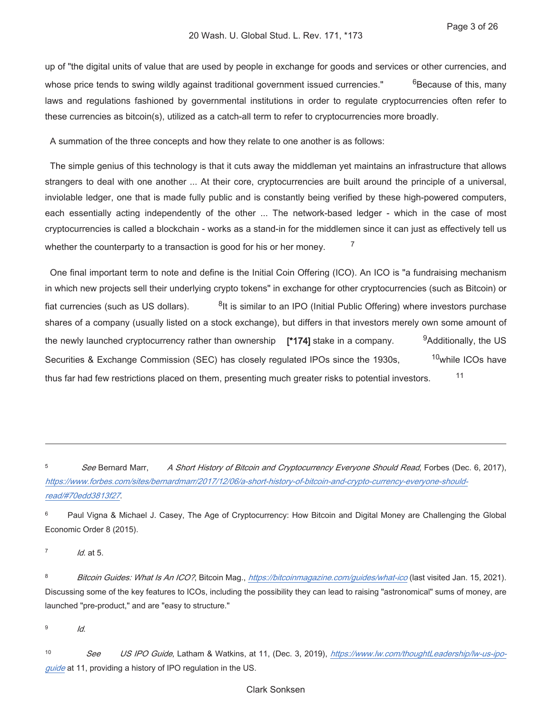up of "the digital units of value that are used by people in exchange for goods and services or other currencies, and whose price tends to swing wildly against traditional government issued currencies." <sup>6</sup>Because of this, many laws and regulations fashioned by governmental institutions in order to regulate cryptocurrencies often refer to these currencies as bitcoin(s), utilized as a catch-all term to refer to cryptocurrencies more broadly.

A summation of the three concepts and how they relate to one another is as follows:

The simple genius of this technology is that it cuts away the middleman yet maintains an infrastructure that allows strangers to deal with one another ... At their core, cryptocurrencies are built around the principle of a universal, inviolable ledger, one that is made fully public and is constantly being verified by these high-powered computers, each essentially acting independently of the other ... The network-based ledger - which in the case of most cryptocurrencies is called a blockchain - works as a stand-in for the middlemen since it can just as effectively tell us  $\overline{7}$ whether the counterparty to a transaction is good for his or her money.

One final important term to note and define is the Initial Coin Offering (ICO). An ICO is "a fundraising mechanism in which new projects sell their underlying crypto tokens" in exchange for other cryptocurrencies (such as Bitcoin) or <sup>8</sup>It is similar to an IPO (Initial Public Offering) where investors purchase fiat currencies (such as US dollars). shares of a company (usually listed on a stock exchange), but differs in that investors merely own some amount of <sup>9</sup>Additionally, the US the newly launched cryptocurrency rather than ownership [\*174] stake in a company. <sup>10</sup>while ICOs have Securities & Exchange Commission (SEC) has closely regulated IPOs since the 1930s,  $11$ thus far had few restrictions placed on them, presenting much greater risks to potential investors.

 $\overline{5}$ A Short History of Bitcoin and Cryptocurrency Everyone Should Read, Forbes (Dec. 6, 2017), See Bernard Marr, https://www.forbes.com/sites/bernardmarr/2017/12/06/a-short-history-of-bitcoin-and-crypto-currency-everyone-shouldread/#70edd3813f27.

 $\epsilon$ Paul Vigna & Michael J. Casey, The Age of Cryptocurrency: How Bitcoin and Digital Money are Challenging the Global Economic Order 8 (2015).

 $\overline{7}$  $1d$ , at 5.

8 Bitcoin Guides: What Is An ICO?, Bitcoin Mag., https://bitcoinmagazine.com/guides/what-ico (last visited Jan. 15, 2021). Discussing some of the key features to ICOs, including the possibility they can lead to raising "astronomical" sums of money, are launched "pre-product," and are "easy to structure."

 $\mathbf{q}$  $Id.$ 

 $10$ See US IPO Guide, Latham & Watkins, at 11, (Dec. 3, 2019), https://www.lw.com/thoughtLeadership/lw-us-ipoguide at 11, providing a history of IPO regulation in the US.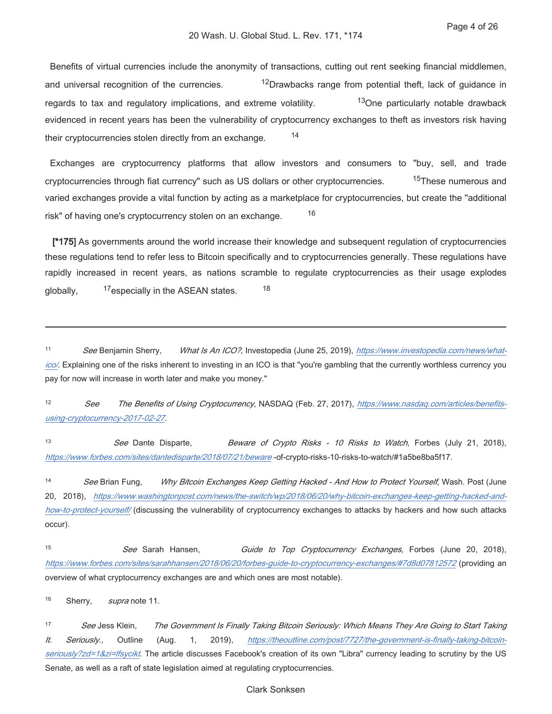Benefits of virtual currencies include the anonymity of transactions, cutting out rent seeking financial middlemen, and universal recognition of the currencies. <sup>12</sup>Drawbacks range from potential theft, lack of guidance in regards to tax and regulatory implications, and extreme volatility. <sup>13</sup>One particularly notable drawback evidenced in recent years has been the vulnerability of cryptocurrency exchanges to theft as investors risk having 14 their cryptocurrencies stolen directly from an exchange.

Exchanges are cryptocurrency platforms that allow investors and consumers to "buy, sell, and trade <sup>15</sup>These numerous and cryptocurrencies through fiat currency" such as US dollars or other cryptocurrencies. varied exchanges provide a vital function by acting as a marketplace for cryptocurrencies, but create the "additional 16 risk" of having one's cryptocurrency stolen on an exchange.

[\*175] As governments around the world increase their knowledge and subsequent regulation of cryptocurrencies these regulations tend to refer less to Bitcoin specifically and to cryptocurrencies generally. These regulations have rapidly increased in recent years, as nations scramble to regulate cryptocurrencies as their usage explodes 18 <sup>17</sup>especially in the ASEAN states. globally,

 $11$ See Benjamin Sherry, What Is An ICO?, Investopedia (June 25, 2019), https://www.investopedia.com/news/whatico/. Explaining one of the risks inherent to investing in an ICO is that "you're gambling that the currently worthless currency you pay for now will increase in worth later and make you money."

 $12$ The Benefits of Using Cryptocurrency, NASDAQ (Feb. 27, 2017), https://www.nasdag.com/articles/benefits-See using-cryptocurrency-2017-02-27.

 $13$ See Dante Disparte, Beware of Crypto Risks - 10 Risks to Watch, Forbes (July 21, 2018), https://www.forbes.com/sites/dantedisparte/2018/07/21/beware-of-crypto-risks-10-risks-to-watch/#1a5be8ba5f17.

 $14$ See Brian Fung, Why Bitcoin Exchanges Keep Getting Hacked - And How to Protect Yourself, Wash. Post (June 20, 2018), https://www.washingtonpost.com/news/the-switch/wp/2018/06/20/why-bitcoin-exchanges-keep-getting-hacked-andhow-to-protect-yourself/ (discussing the vulnerability of cryptocurrency exchanges to attacks by hackers and how such attacks occur).

15 See Sarah Hansen, Guide to Top Cryptocurrency Exchanges, Forbes (June 20, 2018), https://www.forbes.com/sites/sarahhansen/2018/06/20/forbes-guide-to-cryptocurrency-exchanges/#7d8d07812572 (providing an overview of what cryptocurrency exchanges are and which ones are most notable).

16 Sherry, supra note 11.

 $17$ See Jess Klein, The Government Is Finally Taking Bitcoin Seriously: Which Means They Are Going to Start Taking Seriously., Outline  $2019$ ), https://theoutline.com/post/7727/the-government-is-finally-taking-bitcoin-It. (Aug. 1, seriously?zd=1&zi=Ifsycikt. The article discusses Facebook's creation of its own "Libra" currency leading to scrutiny by the US Senate, as well as a raft of state legislation aimed at regulating cryptocurrencies.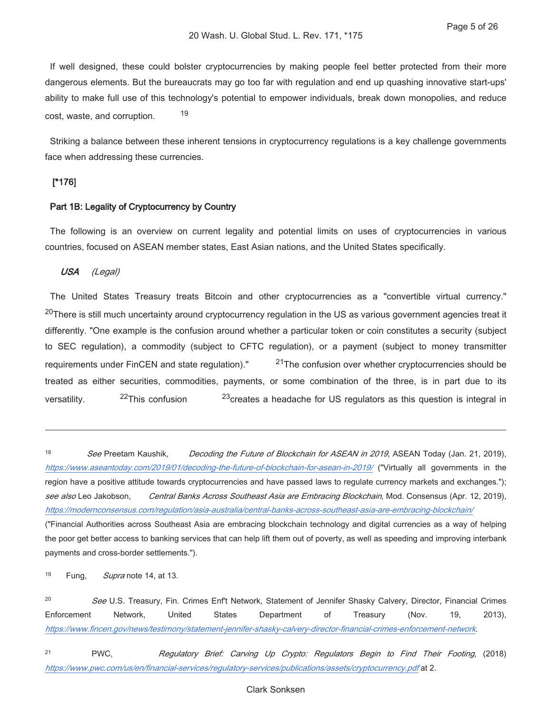If well designed, these could bolster cryptocurrencies by making people feel better protected from their more dangerous elements. But the bureaucrats may go too far with regulation and end up quashing innovative start-ups' ability to make full use of this technology's potential to empower individuals, break down monopolies, and reduce 19 cost, waste, and corruption.

Striking a balance between these inherent tensions in cryptocurrency regulations is a key challenge governments face when addressing these currencies.

# $[^*176]$

### Part 1B: Legality of Cryptocurrency by Country

The following is an overview on current legality and potential limits on uses of cryptocurrencies in various countries, focused on ASEAN member states, East Asian nations, and the United States specifically.

#### USA (Legal)

The United States Treasury treats Bitcoin and other cryptocurrencies as a "convertible virtual currency." <sup>20</sup>There is still much uncertainty around cryptocurrency regulation in the US as various government agencies treat it differently. "One example is the confusion around whether a particular token or coin constitutes a security (subject to SEC regulation), a commodity (subject to CFTC regulation), or a payment (subject to money transmitter <sup>21</sup>The confusion over whether cryptocurrencies should be requirements under FinCEN and state regulation)." treated as either securities, commodities, payments, or some combination of the three, is in part due to its <sup>22</sup>This confusion <sup>23</sup> creates a headache for US regulators as this question is integral in versatility.

18 See Preetam Kaushik. Decoding the Future of Blockchain for ASEAN in 2019, ASEAN Today (Jan. 21, 2019). https://www.aseantoday.com/2019/01/decoding-the-future-of-blockchain-for-asean-in-2019/ ("Virtually all governments in the region have a positive attitude towards cryptocurrencies and have passed laws to regulate currency markets and exchanges."); see also Leo Jakobson, Central Banks Across Southeast Asia are Embracing Blockchain, Mod. Consensus (Apr. 12, 2019), https://modernconsensus.com/regulation/asia-australia/central-banks-across-southeast-asia-are-embracing-blockchain/ ("Financial Authorities across Southeast Asia are embracing blockchain technology and digital currencies as a way of helping

the poor get better access to banking services that can help lift them out of poverty, as well as speeding and improving interbank payments and cross-border settlements.").

19 Fung, Supra note 14, at 13.

 $20$ See U.S. Treasury, Fin. Crimes Enf't Network, Statement of Jennifer Shasky Calvery, Director, Financial Crimes Enforcement Network, United **States** Department of Treasury (Nov. 19.  $2013$ ), https://www.fincen.gov/news/testimony/statement-jennifer-shasky-calvery-director-financial-crimes-enforcement-network.

 $21$ PWC. Regulatory Brief: Carving Up Crypto: Regulators Begin to Find Their Footing, (2018) https://www.pwc.com/us/en/financial-services/requlatory-services/publications/assets/cryptocurrency.pdf at 2.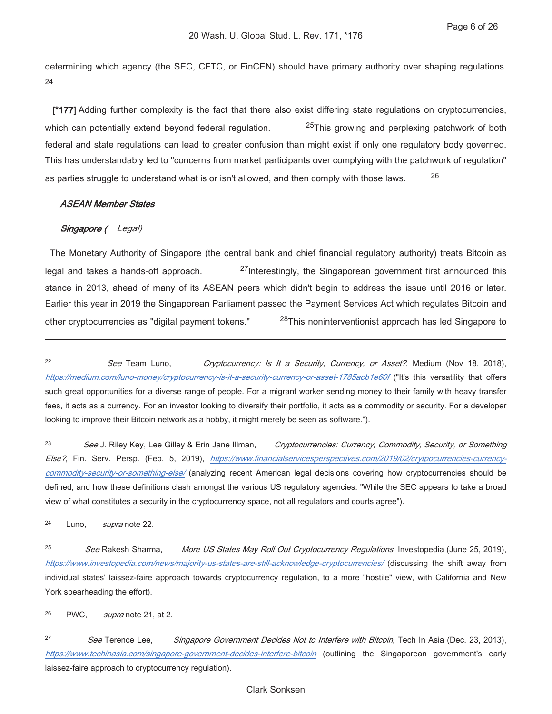determining which agency (the SEC, CFTC, or FinCEN) should have primary authority over shaping regulations. 24

[\*177] Adding further complexity is the fact that there also exist differing state regulations on cryptocurrencies, <sup>25</sup>This growing and perplexing patchwork of both which can potentially extend beyond federal regulation. federal and state regulations can lead to greater confusion than might exist if only one regulatory body governed. This has understandably led to "concerns from market participants over complying with the patchwork of regulation" 26 as parties struggle to understand what is or isn't allowed, and then comply with those laws.

### **ASEAN Member States**

# Singapore (Legal)

The Monetary Authority of Singapore (the central bank and chief financial regulatory authority) treats Bitcoin as <sup>27</sup>Interestingly, the Singaporean government first announced this legal and takes a hands-off approach. stance in 2013, ahead of many of its ASEAN peers which didn't begin to address the issue until 2016 or later. Earlier this year in 2019 the Singaporean Parliament passed the Payment Services Act which regulates Bitcoin and other cryptocurrencies as "digital payment tokens." <sup>28</sup>This noninterventionist approach has led Singapore to

 $22$ See Team Luno. Cryptocurrency: Is It a Security, Currency, or Asset?, Medium (Nov 18, 2018), https://medium.com/luno-money/cryptocurrency-is-it-a-security-currency-or-asset-1785acb1e60f ("It's this versatility that offers such great opportunities for a diverse range of people. For a migrant worker sending money to their family with heavy transfer fees, it acts as a currency. For an investor looking to diversify their portfolio, it acts as a commodity or security. For a developer looking to improve their Bitcoin network as a hobby, it might merely be seen as software.").

 $23$ See J. Riley Key, Lee Gilley & Erin Jane Illman, Cryptocurrencies: Currency, Commodity, Security, or Something Else?, Fin. Serv. Persp. (Feb. 5, 2019), https://www.financialservicesperspectives.com/2019/02/crytpocurrencies-currencycommodity-security-or-something-else/ (analyzing recent American legal decisions covering how cryptocurrencies should be defined, and how these definitions clash amongst the various US regulatory agencies: "While the SEC appears to take a broad view of what constitutes a security in the cryptocurrency space, not all regulators and courts agree").

24 Luno. supra note 22.

25 See Rakesh Sharma, More US States May Roll Out Cryptocurrency Regulations, Investopedia (June 25, 2019), https://www.investopedia.com/news/majority-us-states-are-still-acknowledge-cryptocurrencies/ (discussing the shift away from individual states' laissez-faire approach towards cryptocurrency regulation, to a more "hostile" view, with California and New York spearheading the effort).

26 PWC. supra note 21, at 2.

 $27$ See Terence Lee, Singapore Government Decides Not to Interfere with Bitcoin, Tech In Asia (Dec. 23, 2013), https://www.techinasia.com/singapore-government-decides-interfere-bitcoin (outlining the Singaporean government's early laissez-faire approach to cryptocurrency regulation).

### **Clark Sonksen**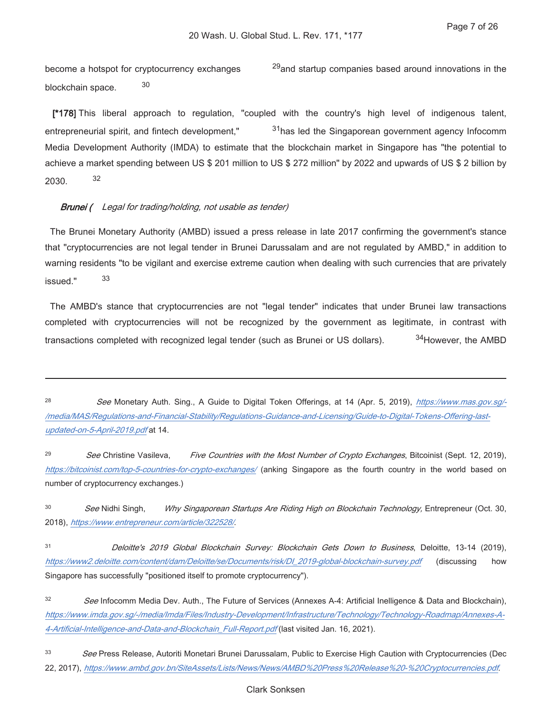become a hotspot for cryptocurrency exchanges <sup>29</sup> and startup companies based around innovations in the  $30$ blockchain space.

[\*178] This liberal approach to regulation, "coupled with the country's high level of indigenous talent, <sup>31</sup>has led the Singaporean government agency Infocomm entrepreneurial spirit, and fintech development," Media Development Authority (IMDA) to estimate that the blockchain market in Singapore has "the potential to achieve a market spending between US \$ 201 million to US \$ 272 million" by 2022 and upwards of US \$ 2 billion by 32 2030.

### **Brunei** (Legal for trading/holding, not usable as tender)

The Brunei Monetary Authority (AMBD) issued a press release in late 2017 confirming the government's stance that "cryptocurrencies are not legal tender in Brunei Darussalam and are not regulated by AMBD," in addition to warning residents "to be vigilant and exercise extreme caution when dealing with such currencies that are privately 33 issued"

The AMBD's stance that cryptocurrencies are not "legal tender" indicates that under Brunei law transactions completed with cryptocurrencies will not be recognized by the government as legitimate, in contrast with 34 However, the AMBD transactions completed with recognized legal tender (such as Brunei or US dollars).

29 See Christine Vasileva, Five Countries with the Most Number of Crypto Exchanges, Bitcoinist (Sept. 12, 2019), https://bitcoinist.com/top-5-countries-for-crypto-exchanges/ (anking Singapore as the fourth country in the world based on number of cryptocurrency exchanges.)

30 See Nidhi Singh, Why Singaporean Startups Are Riding High on Blockchain Technology, Entrepreneur (Oct. 30, 2018), https://www.entrepreneur.com/article/322528/.

 $31$ Deloitte's 2019 Global Blockchain Survey: Blockchain Gets Down to Business, Deloitte, 13-14 (2019), https://www2.deloitte.com/content/dam/Deloitte/se/Documents/risk/DI 2019-global-blockchain-survey.pdf (discussing how Singapore has successfully "positioned itself to promote cryptocurrency").

33 See Press Release, Autoriti Monetari Brunei Darussalam, Public to Exercise High Caution with Cryptocurrencies (Dec 22, 2017), https://www.ambd.gov.bn/SiteAssets/Lists/News/News/AMBD%20Press%20Release%20-%20Cryptocurrencies.pdf.

 $28$ See Monetary Auth. Sing., A Guide to Digital Token Offerings, at 14 (Apr. 5, 2019), https://www.mas.gov.sg/-/media/MAS/Regulations-and-Financial-Stability/Regulations-Guidance-and-Licensing/Guide-to-Digital-Tokens-Offering-lastupdated-on-5-April-2019.pdf at 14.

<sup>32</sup> See Infocomm Media Dev. Auth., The Future of Services (Annexes A-4: Artificial Inelligence & Data and Blockchain), https://www.imda.gov.sg/-/media/Imda/Files/Industry-Development/Infrastructure/Technology/Technology-Roadmap/Annexes-A-4-Artificial-Intelligence-and-Data-and-Blockchain\_Full-Report.pdf (last visited Jan. 16, 2021).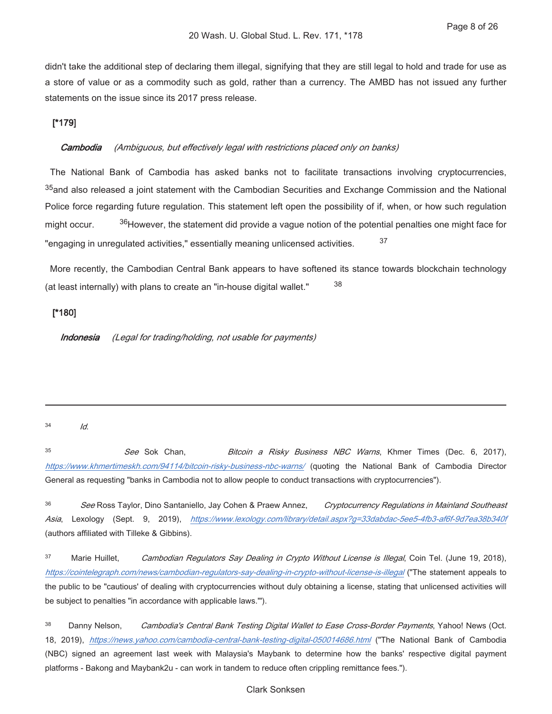didn't take the additional step of declaring them illegal, signifying that they are still legal to hold and trade for use as a store of value or as a commodity such as gold, rather than a currency. The AMBD has not issued any further statements on the issue since its 2017 press release.

# $[*179]$

#### Cambodia (Ambiguous, but effectively legal with restrictions placed only on banks)

The National Bank of Cambodia has asked banks not to facilitate transactions involving cryptocurrencies, <sup>35</sup> and also released a joint statement with the Cambodian Securities and Exchange Commission and the National Police force regarding future regulation. This statement left open the possibility of if, when, or how such regulation <sup>36</sup>However, the statement did provide a vague notion of the potential penalties one might face for might occur. 37 "engaging in unregulated activities," essentially meaning unlicensed activities.

More recently, the Cambodian Central Bank appears to have softened its stance towards blockchain technology 38 (at least internally) with plans to create an "in-house digital wallet."

# $[*180]$

(Legal for trading/holding, not usable for payments) Indonesia

#### $34$ Id.

 $35$ See Sok Chan, Bitcoin a Risky Business NBC Warns, Khmer Times (Dec. 6, 2017), https://www.khmertimeskh.com/94114/bitcoin-risky-business-nbc-warns/ (quoting the National Bank of Cambodia Director General as requesting "banks in Cambodia not to allow people to conduct transactions with cryptocurrencies").

36 See Ross Taylor, Dino Santaniello, Jay Cohen & Praew Annez, Cryptocurrency Regulations in Mainland Southeast Asia, Lexology (Sept. 9, 2019), https://www.lexology.com/library/detail.aspx?g=33dabdac-5ee5-4fb3-af6f-9d7ea38b340f (authors affiliated with Tilleke & Gibbins).

37 Marie Huillet. Cambodian Regulators Say Dealing in Crypto Without License is Illegal, Coin Tel. (June 19, 2018), https://cointelegraph.com/news/cambodian-regulators-say-dealing-in-crypto-without-license-is-illegal ("The statement appeals to the public to be "cautious' of dealing with cryptocurrencies without duly obtaining a license, stating that unlicensed activities will be subject to penalties "in accordance with applicable laws."").

38 Danny Nelson, Cambodia's Central Bank Testing Digital Wallet to Ease Cross-Border Payments, Yahoo! News (Oct. 18, 2019), https://news.yahoo.com/cambodia-central-bank-testing-digital-050014686.html ("The National Bank of Cambodia (NBC) signed an agreement last week with Malaysia's Maybank to determine how the banks' respective digital payment platforms - Bakong and Maybank2u - can work in tandem to reduce often crippling remittance fees.").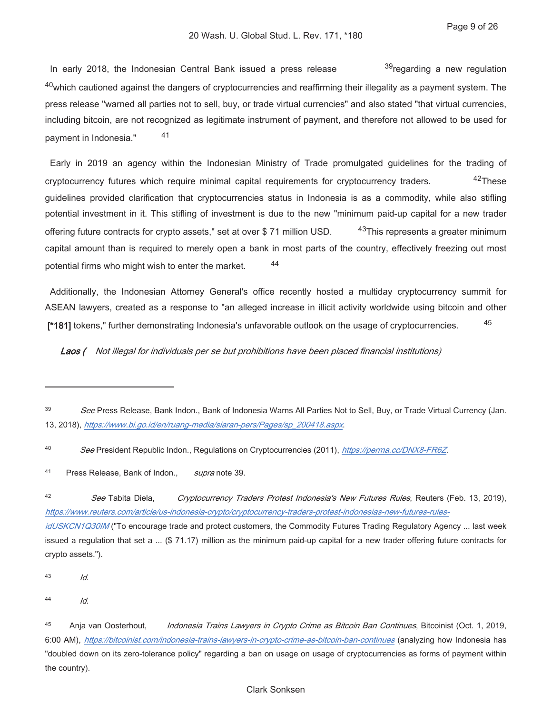In early 2018, the Indonesian Central Bank issued a press release <sup>39</sup>regarding a new regulation  $40$  which cautioned against the dangers of cryptocurrencies and reaffirming their illegality as a payment system. The press release "warned all parties not to sell, buy, or trade virtual currencies" and also stated "that virtual currencies, including bitcoin, are not recognized as legitimate instrument of payment, and therefore not allowed to be used for 41 payment in Indonesia."

Early in 2019 an agency within the Indonesian Ministry of Trade promulgated guidelines for the trading of  $42$ These cryptocurrency futures which require minimal capital requirements for cryptocurrency traders. quidelines provided clarification that cryptocurrencies status in Indonesia is as a commodity, while also stifling potential investment in it. This stifling of investment is due to the new "minimum paid-up capital for a new trader <sup>43</sup>This represents a greater minimum offering future contracts for crypto assets," set at over \$71 million USD. capital amount than is required to merely open a bank in most parts of the country, effectively freezing out most 44 potential firms who might wish to enter the market.

Additionally, the Indonesian Attorney General's office recently hosted a multiday cryptocurrency summit for ASEAN lawyers, created as a response to "an alleged increase in illicit activity worldwide using bitcoin and other 45 [\*181] tokens," further demonstrating Indonesia's unfavorable outlook on the usage of cryptocurrencies.

Laos ( Not illegal for individuals per se but prohibitions have been placed financial institutions)

 $42$ See Tabita Diela, Cryptocurrency Traders Protest Indonesia's New Futures Rules, Reuters (Feb. 13, 2019), https://www.reuters.com/article/us-indonesia-crypto/cryptocurrency-traders-protest-indonesias-new-futures-rules-

idUSKCN1Q30IM ("To encourage trade and protect customers, the Commodity Futures Trading Regulatory Agency ... last week issued a regulation that set a ... (\$71.17) million as the minimum paid-up capital for a new trader offering future contracts for crypto assets.").

43  $Id.$ 

 $44$ Id.

<sup>39</sup> See Press Release, Bank Indon., Bank of Indonesia Warns All Parties Not to Sell, Buy, or Trade Virtual Currency (Jan. 13, 2018), https://www.bi.go.id/en/ruang-media/siaran-pers/Pages/sp\_200418.aspx.

<sup>40</sup> See President Republic Indon., Regulations on Cryptocurrencies (2011), https://perma.cc/DNX8-FR6Z.

 $41$ Press Release, Bank of Indon., supra note 39.

<sup>45</sup> Anja van Oosterhout, Indonesia Trains Lawyers in Crypto Crime as Bitcoin Ban Continues, Bitcoinist (Oct. 1, 2019, 6:00 AM), https://bitcoinist.com/indonesia-trains-lawyers-in-crypto-crime-as-bitcoin-ban-continues (analyzing how Indonesia has "doubled down on its zero-tolerance policy" regarding a ban on usage on usage of cryptocurrencies as forms of payment within the country).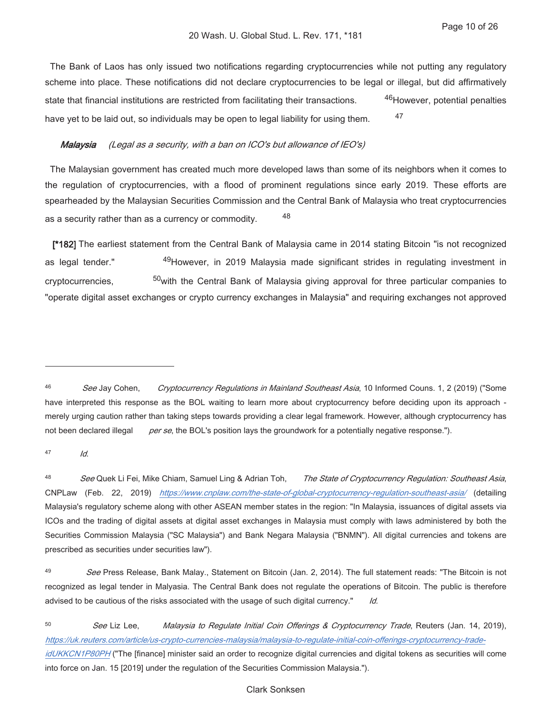The Bank of Laos has only issued two notifications regarding cryptocurrencies while not putting any regulatory scheme into place. These notifications did not declare cryptocurrencies to be legal or illegal, but did affirmatively <sup>46</sup>However, potential penalties state that financial institutions are restricted from facilitating their transactions. 47 have yet to be laid out, so individuals may be open to legal liability for using them.

#### (Legal as a security, with a ban on ICO's but allowance of IEO's) Malaysia

The Malaysian government has created much more developed laws than some of its neighbors when it comes to the regulation of cryptocurrencies, with a flood of prominent regulations since early 2019. These efforts are spearheaded by the Malaysian Securities Commission and the Central Bank of Malaysia who treat cryptocurrencies 48 as a security rather than as a currency or commodity.

[\*182] The earliest statement from the Central Bank of Malaysia came in 2014 stating Bitcoin "is not recognized <sup>49</sup>However, in 2019 Malaysia made significant strides in regulating investment in as legal tender." <sup>50</sup> with the Central Bank of Malaysia giving approval for three particular companies to cryptocurrencies. "operate digital asset exchanges or crypto currency exchanges in Malaysia" and requiring exchanges not approved

47  $\overline{M}$ 

<sup>46</sup> See Jay Cohen. Cryptocurrency Regulations in Mainland Southeast Asia, 10 Informed Couns. 1, 2 (2019) ("Some have interpreted this response as the BOL waiting to learn more about cryptocurrency before deciding upon its approach merely urging caution rather than taking steps towards providing a clear legal framework. However, although cryptocurrency has not been declared illegal per se, the BOL's position lays the groundwork for a potentially negative response.").

<sup>48</sup> See Quek Li Fei, Mike Chiam, Samuel Ling & Adrian Toh, The State of Cryptocurrency Regulation: Southeast Asia, CNPLaw (Feb. 22, 2019) https://www.cnplaw.com/the-state-of-global-cryptocurrency-regulation-southeast-asia/ (detailing Malaysia's regulatory scheme along with other ASEAN member states in the region: "In Malaysia, issuances of digital assets via ICOs and the trading of digital assets at digital asset exchanges in Malaysia must comply with laws administered by both the Securities Commission Malaysia ("SC Malaysia") and Bank Negara Malaysia ("BNMN"). All digital currencies and tokens are prescribed as securities under securities law").

 $\overline{49}$ See Press Release, Bank Malay., Statement on Bitcoin (Jan. 2, 2014). The full statement reads: "The Bitcoin is not recognized as legal tender in Malyasia. The Central Bank does not regulate the operations of Bitcoin. The public is therefore advised to be cautious of the risks associated with the usage of such digital currency." Id.

<sup>50</sup> See Liz Lee, Malaysia to Regulate Initial Coin Offerings & Cryptocurrency Trade, Reuters (Jan. 14, 2019), https://uk.reuters.com/article/us-crypto-currencies-malaysia/malaysia-to-regulate-initial-coin-offerings-cryptocurrency-tradeidUKKCN1P80PH ("The [finance] minister said an order to recognize digital currencies and digital tokens as securities will come into force on Jan. 15 [2019] under the regulation of the Securities Commission Malaysia.").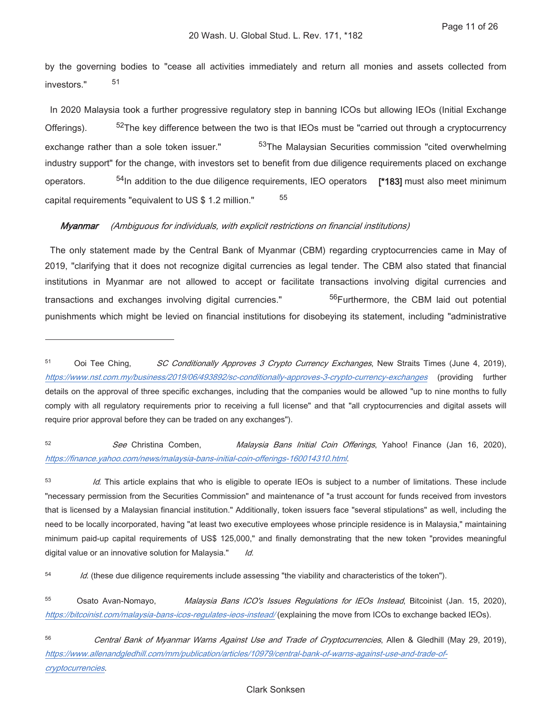by the governing bodies to "cease all activities immediately and return all monies and assets collected from 51 investors."

In 2020 Malaysia took a further progressive regulatory step in banning ICOs but allowing IEOs (Initial Exchange  $52$ The key difference between the two is that IEOs must be "carried out through a cryptocurrency Offerings). <sup>53</sup>The Malaysian Securities commission "cited overwhelming exchange rather than a sole token issuer." industry support" for the change, with investors set to benefit from due diligence requirements placed on exchange <sup>54</sup>In addition to the due diligence requirements, IEO operators [\*183] must also meet minimum operators. 55 capital requirements "equivalent to US \$ 1.2 million."

#### Mvanmar (Ambiguous for individuals, with explicit restrictions on financial institutions)

The only statement made by the Central Bank of Myanmar (CBM) regarding cryptocurrencies came in May of 2019. "clarifying that it does not recognize digital currencies as legal tender. The CBM also stated that financial institutions in Myanmar are not allowed to accept or facilitate transactions involving digital currencies and 56Furthermore, the CBM laid out potential transactions and exchanges involving digital currencies." punishments which might be levied on financial institutions for disobeying its statement, including "administrative

 $52$ See Christina Comben, Malaysia Bans Initial Coin Offerings, Yahoo! Finance (Jan 16, 2020), https://finance.yahoo.com/news/malaysia-bans-initial-coin-offerings-160014310.html.

53 Id. This article explains that who is eligible to operate IEOs is subject to a number of limitations. These include "necessary permission from the Securities Commission" and maintenance of "a trust account for funds received from investors that is licensed by a Malaysian financial institution." Additionally, token issuers face "several stipulations" as well, including the need to be locally incorporated, having "at least two executive employees whose principle residence is in Malaysia," maintaining minimum paid-up capital requirements of US\$ 125,000," and finally demonstrating that the new token "provides meaningful digital value or an innovative solution for Malaysia." Id.

54 Id. (these due diligence requirements include assessing "the viability and characteristics of the token").

55 Osato Avan-Nomayo, Malaysia Bans ICO's Issues Regulations for IEOs Instead, Bitcoinist (Jan. 15, 2020), https://bitcoinist.com/malaysia-bans-icos-regulates-ieos-instead/ (explaining the move from ICOs to exchange backed IEOs).

<sup>51</sup> Ooi Tee Ching, SC Conditionally Approves 3 Crypto Currency Exchanges, New Straits Times (June 4, 2019). https://www.nst.com.my/business/2019/06/493892/sc-conditionally-approves-3-crypto-currency-exchanges (providing further details on the approval of three specific exchanges, including that the companies would be allowed "up to nine months to fully comply with all regulatory requirements prior to receiving a full license" and that "all cryptocurrencies and digital assets will require prior approval before they can be traded on any exchanges").

<sup>56</sup> Central Bank of Myanmar Warns Against Use and Trade of Cryptocurrencies, Allen & Gledhill (May 29, 2019), https://www.allenandgledhill.com/mm/publication/articles/10979/central-bank-of-warns-against-use-and-trade-ofcryptocurrencies.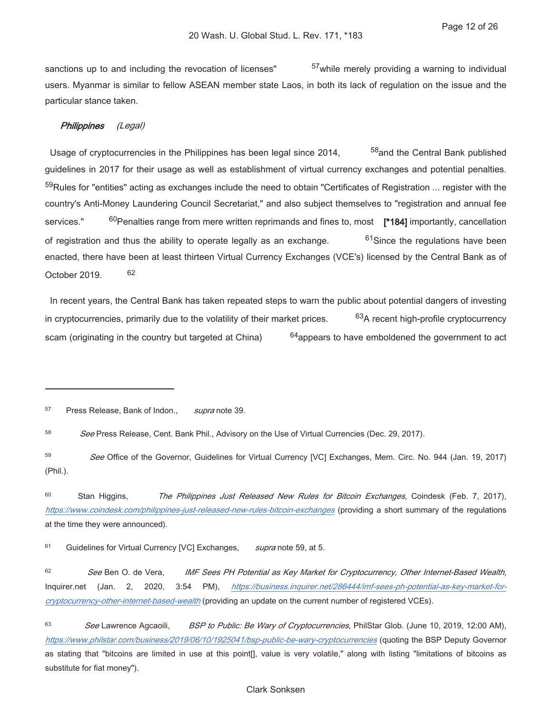sanctions up to and including the revocation of licenses" <sup>57</sup> while merely providing a warning to individual users. Myanmar is similar to fellow ASEAN member state Laos, in both its lack of regulation on the issue and the particular stance taken.

#### Philippines  $(Leqal)$

<sup>58</sup> and the Central Bank published Usage of cryptocurrencies in the Philippines has been legal since 2014, guidelines in 2017 for their usage as well as establishment of virtual currency exchanges and potential penalties. <sup>59</sup>Rules for "entities" acting as exchanges include the need to obtain "Certificates of Registration ... register with the country's Anti-Money Laundering Council Secretariat," and also subject themselves to "registration and annual fee  $60$ Penalties range from mere written reprimands and fines to, most [\*184] importantly, cancellation services." of registration and thus the ability to operate legally as an exchange. <sup>61</sup>Since the regulations have been enacted, there have been at least thirteen Virtual Currency Exchanges (VCE's) licensed by the Central Bank as of 62 October 2019.

In recent years, the Central Bank has taken repeated steps to warn the public about potential dangers of investing 63A recent high-profile cryptocurrency in cryptocurrencies, primarily due to the volatility of their market prices. scam (originating in the country but targeted at China)  $64$ appears to have emboldened the government to act

57 Press Release, Bank of Indon., supra note 39.

58 See Press Release, Cent. Bank Phil., Advisory on the Use of Virtual Currencies (Dec. 29, 2017).

59 See Office of the Governor, Guidelines for Virtual Currency [VC] Exchanges, Mem. Circ. No. 944 (Jan. 19, 2017) (Phil.).

60 The Philippines Just Released New Rules for Bitcoin Exchanges, Coindesk (Feb. 7, 2017), Stan Higgins, https://www.coindesk.com/philippines-just-released-new-rules-bitcoin-exchanges (providing a short summary of the regulations at the time they were announced).

61 Guidelines for Virtual Currency [VC] Exchanges, supra note 59, at 5.

 $62$ See Ben O. de Vera. IMF Sees PH Potential as Key Market for Cryptocurrency, Other Internet-Based Wealth, https://business.inguirer.net/286444/imf-sees-ph-potential-as-key-market-for-Inquirer.net (Jan. 2, 2020,  $3:54$  PM), cryptocurrency-other-internet-based-wealth (providing an update on the current number of registered VCEs).

63 BSP to Public: Be Wary of Cryptocurrencies, PhilStar Glob. (June 10, 2019, 12:00 AM), See Lawrence Agcaoili, https://www.philstar.com/business/2019/06/10/1925041/bsp-public-be-wary-cryptocurrencies (quoting the BSP Deputy Governor as stating that "bitcoins are limited in use at this point[], value is very volatile," along with listing "limitations of bitcoins as substitute for fiat money").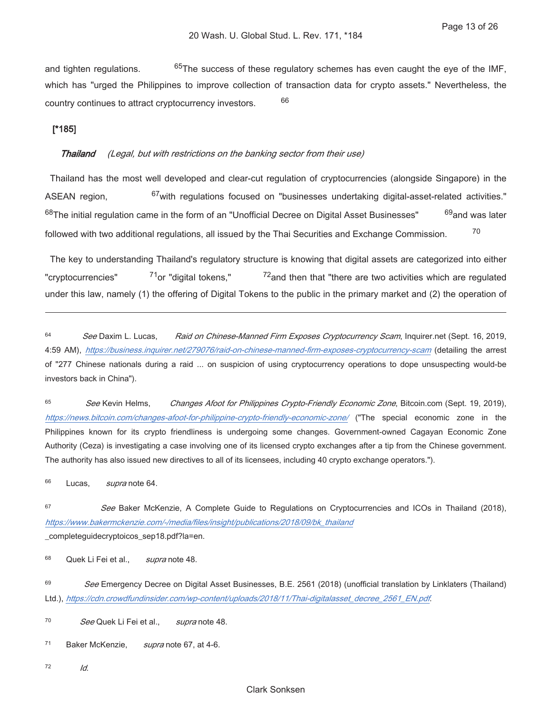$65$ The success of these regulatory schemes has even caught the eye of the IMF, and tighten regulations. which has "urged the Philippines to improve collection of transaction data for crypto assets." Nevertheless, the 66 country continues to attract cryptocurrency investors.

# $[*185]$

### **Thailand** (Legal, but with restrictions on the banking sector from their use)

Thailand has the most well developed and clear-cut requlation of cryptocurrencies (alongside Singapore) in the ASEAN region, <sup>67</sup> with regulations focused on "businesses undertaking digital-asset-related activities." 69<sub>and</sub> was later <sup>68</sup>The initial regulation came in the form of an "Unofficial Decree on Digital Asset Businesses" 70 followed with two additional regulations, all issued by the Thai Securities and Exchange Commission.

The key to understanding Thailand's regulatory structure is knowing that digital assets are categorized into either 71<sub>or</sub> "digital tokens," "cryptocurrencies"  $72$  and then that "there are two activities which are regulated under this law, namely (1) the offering of Digital Tokens to the public in the primary market and (2) the operation of

64 See Daxim L. Lucas. Raid on Chinese-Manned Firm Exposes Cryptocurrency Scam, Inquirer.net (Sept. 16, 2019, 4:59 AM), https://business.inquirer.net/279076/raid-on-chinese-manned-firm-exposes-cryptocurrency-scam (detailing the arrest of "277 Chinese nationals during a raid ... on suspicion of using cryptocurrency operations to dope unsuspecting would-be investors back in China").

65 See Kevin Helms. Changes Afoot for Philippines Crypto-Friendly Economic Zone, Bitcoin.com (Sept. 19, 2019), https://news.bitcoin.com/changes-afoot-for-philippine-crypto-friendly-economic-zone/ ("The special economic zone in the Philippines known for its crypto friendliness is undergoing some changes. Government-owned Cagayan Economic Zone Authority (Ceza) is investigating a case involving one of its licensed crypto exchanges after a tip from the Chinese government. The authority has also issued new directives to all of its licensees, including 40 crypto exchange operators.").

66 Lucas. supra note 64.

67 See Baker McKenzie, A Complete Guide to Regulations on Cryptocurrencies and ICOs in Thailand (2018), https://www.bakermckenzie.com/-/media/files/insight/publications/2018/09/bk\_thailand \_completeguidecryptoicos\_sep18.pdf?la=en.

68 Quek Li Fei et al., supra note 48.

69 See Emergency Decree on Digital Asset Businesses, B.E. 2561 (2018) (unofficial translation by Linklaters (Thailand) Ltd.), https://cdn.crowdfundinsider.com/wp-content/uploads/2018/11/Thai-digitalasset\_decree\_2561\_EN.pdf.

 $70$ See Quek Li Fei et al.. supra note 48.

 $71$ Baker McKenzie, supra note 67, at 4-6.

72

ld.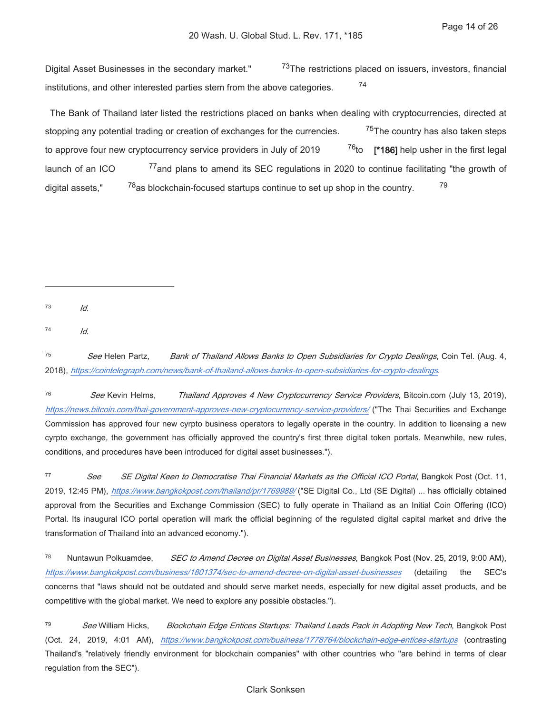Digital Asset Businesses in the secondary market." <sup>73</sup>The restrictions placed on issuers, investors, financial 74 institutions, and other interested parties stem from the above categories.

The Bank of Thailand later listed the restrictions placed on banks when dealing with cryptocurrencies, directed at <sup>75</sup>The country has also taken steps stopping any potential trading or creation of exchanges for the currencies.  $^{76}$ to [\*186] help usher in the first legal to approve four new cryptocurrency service providers in July of 2019 77 and plans to amend its SEC regulations in 2020 to continue facilitating "the growth of launch of an ICO 79 digital assets." <sup>78</sup> as blockchain-focused startups continue to set up shop in the country.

 $73$  $\overline{ld}$ .

74  $Id.$ 

75 See Helen Partz, Bank of Thailand Allows Banks to Open Subsidiaries for Crypto Dealings, Coin Tel. (Aug. 4, 2018), https://cointelegraph.com/news/bank-of-thailand-allows-banks-to-open-subsidiaries-for-crypto-dealings.

76 See Kevin Helms. Thailand Approves 4 New Cryptocurrency Service Providers, Bitcoin.com (July 13, 2019), https://news.bitcoin.com/thai-government-approves-new-cryptocurrency-service-providers/ ("The Thai Securities and Exchange Commission has approved four new cyrpto business operators to legally operate in the country. In addition to licensing a new cyrpto exchange, the government has officially approved the country's first three digital token portals. Meanwhile, new rules, conditions, and procedures have been introduced for digital asset businesses.").

77 See SE Digital Keen to Democratise Thai Financial Markets as the Official ICO Portal, Bangkok Post (Oct. 11, 2019, 12:45 PM), https://www.bangkokpost.com/thailand/pr/1769989/ ("SE Digital Co., Ltd (SE Digital) ... has officially obtained approval from the Securities and Exchange Commission (SEC) to fully operate in Thailand as an Initial Coin Offering (ICO) Portal. Its inaugural ICO portal operation will mark the official beginning of the regulated digital capital market and drive the transformation of Thailand into an advanced economy.").

78 Nuntawun Polkuamdee. SEC to Amend Decree on Digital Asset Businesses, Bangkok Post (Nov. 25, 2019, 9:00 AM), https://www.bangkokpost.com/business/1801374/sec-to-amend-decree-on-digital-asset-businesses SEC's (detailing the concerns that "laws should not be outdated and should serve market needs, especially for new digital asset products, and be competitive with the global market. We need to explore any possible obstacles.").

79 See William Hicks, Blockchain Edge Entices Startups: Thailand Leads Pack in Adopting New Tech, Bangkok Post (Oct. 24, 2019, 4:01 AM), https://www.bangkokpost.com/business/1778764/blockchain-edge-entices-startups (contrasting Thailand's "relatively friendly environment for blockchain companies" with other countries who "are behind in terms of clear regulation from the SEC").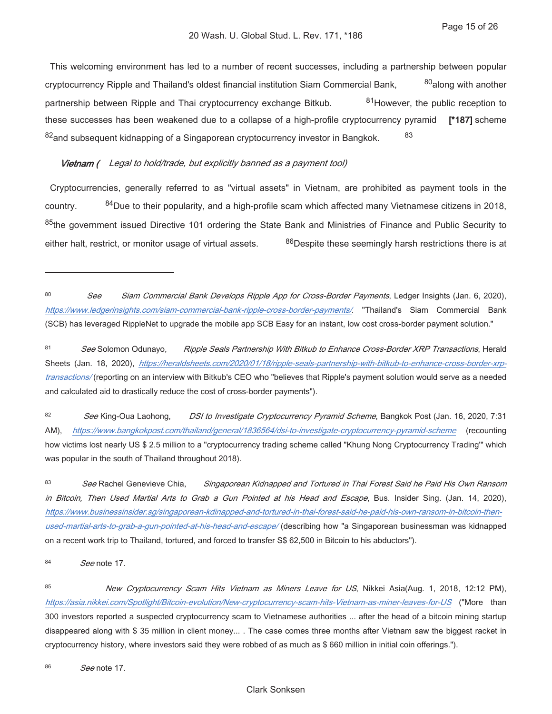This welcoming environment has led to a number of recent successes, including a partnership between popular 80along with another cryptocurrency Ripple and Thailand's oldest financial institution Siam Commercial Bank, 81 However, the public reception to partnership between Ripple and Thai cryptocurrency exchange Bitkub. these successes has been weakened due to a collapse of a high-profile cryptocurrency pyramid [\*187] scheme 83 82 and subsequent kidnapping of a Singaporean cryptocurrency investor in Bangkok.

### Vietnam ( Legal to hold/trade, but explicitly banned as a payment tool)

Cryptocurrencies, generally referred to as "virtual assets" in Vietnam, are prohibited as payment tools in the <sup>84</sup>Due to their popularity, and a high-profile scam which affected many Vietnamese citizens in 2018, country. <sup>85</sup>the government issued Directive 101 ordering the State Bank and Ministries of Finance and Public Security to 86 Despite these seemingly harsh restrictions there is at either halt, restrict, or monitor usage of virtual assets.

82 See King-Oua Laohong, DSI to Investigate Cryptocurrency Pyramid Scheme, Bangkok Post (Jan. 16, 2020, 7:31 https://www.bangkokpost.com/thailand/general/1836564/dsi-to-investigate-cryptocurrency-pyramid-scheme (recounting AM). how victims lost nearly US \$ 2.5 million to a "cryptocurrency trading scheme called "Khung Nong Cryptocurrency Trading" which was popular in the south of Thailand throughout 2018).

83 See Rachel Genevieve Chia, Singaporean Kidnapped and Tortured in Thai Forest Said he Paid His Own Ransom in Bitcoin, Then Used Martial Arts to Grab a Gun Pointed at his Head and Escape, Bus. Insider Sing. (Jan. 14, 2020), https://www.businessinsider.sg/singaporean-kdinapped-and-tortured-in-thai-forest-said-he-paid-his-own-ransom-in-bitcoin-thenused-martial-arts-to-grab-a-gun-pointed-at-his-head-and-escape/ (describing how "a Singaporean businessman was kidnapped on a recent work trip to Thailand, tortured, and forced to transfer S\$ 62,500 in Bitcoin to his abductors").

84 See note 17.

85 New Cryptocurrency Scam Hits Vietnam as Miners Leave for US, Nikkei Asia(Aug. 1, 2018, 12:12 PM), https://asia.nikkei.com/Spotlight/Bitcoin-evolution/New-cryptocurrency-scam-hits-Vietnam-as-miner-leaves-for-US ("More than 300 investors reported a suspected cryptocurrency scam to Vietnamese authorities ... after the head of a bitcoin mining startup disappeared along with \$35 million in client money... . The case comes three months after Vietnam saw the biggest racket in cryptocurrency history, where investors said they were robbed of as much as \$660 million in initial coin offerings.").

<sup>80</sup> See Siam Commercial Bank Develops Ripple App for Cross-Border Payments, Ledger Insights (Jan. 6, 2020), https://www.ledgerinsights.com/siam-commercial-bank-ripple-cross-border-payments/. "Thailand's Siam Commercial Bank (SCB) has leveraged RippleNet to upgrade the mobile app SCB Easy for an instant, low cost cross-border payment solution."

<sup>81</sup> Ripple Seals Partnership With Bitkub to Enhance Cross-Border XRP Transactions, Herald See Solomon Odunayo, Sheets (Jan. 18, 2020), https://heraldsheets.com/2020/01/18/ripple-seals-partnership-with-bitkub-to-enhance-cross-border-xrptransactions/(reporting on an interview with Bitkub's CEO who "believes that Ripple's payment solution would serve as a needed and calculated aid to drastically reduce the cost of cross-border payments").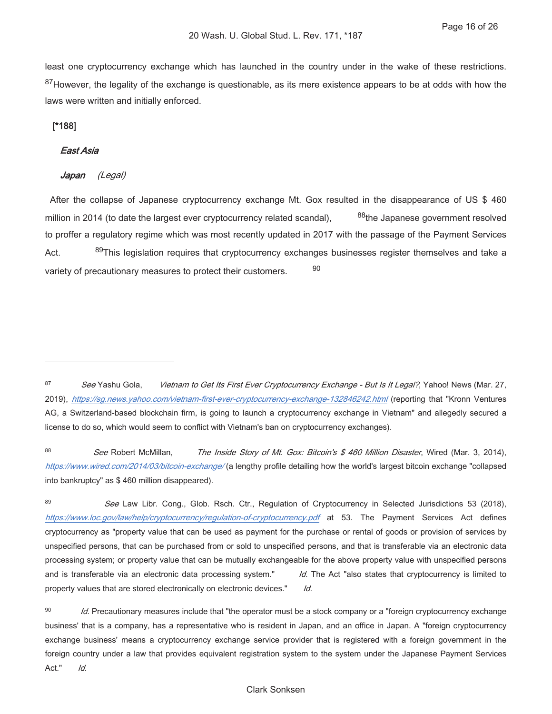least one cryptocurrency exchange which has launched in the country under in the wake of these restrictions. 87 However, the legality of the exchange is questionable, as its mere existence appears to be at odds with how the laws were written and initially enforced.

# $[^*188]$

### **East Asia**

#### Japan  $(Legal)$

After the collapse of Japanese cryptocurrency exchange Mt. Gox resulted in the disappearance of US \$460 million in 2014 (to date the largest ever cryptocurrency related scandal), <sup>88</sup>the Japanese government resolved to proffer a regulatory regime which was most recently updated in 2017 with the passage of the Payment Services 89This legislation requires that cryptocurrency exchanges businesses register themselves and take a Act. 90 variety of precautionary measures to protect their customers.

 $\overline{R}$ See Robert McMillan, The Inside Story of Mt. Gox: Bitcoin's \$ 460 Million Disaster, Wired (Mar. 3, 2014), https://www.wired.com/2014/03/bitcoin-exchange/(a lengthy profile detailing how the world's largest bitcoin exchange "collapsed into bankruptcy" as \$460 million disappeared).

89 See Law Libr. Cong., Glob. Rsch. Ctr., Regulation of Cryptocurrency in Selected Jurisdictions 53 (2018), https://www.loc.gov/law/help/cryptocurrency/regulation-of-cryptocurrency.pdf at 53. The Payment Services Act defines cryptocurrency as "property value that can be used as payment for the purchase or rental of goods or provision of services by unspecified persons, that can be purchased from or sold to unspecified persons, and that is transferable via an electronic data processing system; or property value that can be mutually exchangeable for the above property value with unspecified persons and is transferable via an electronic data processing system." Id. The Act "also states that cryptocurrency is limited to property values that are stored electronically on electronic devices."  $Id.$ 

90 Id. Precautionary measures include that "the operator must be a stock company or a "foreign cryptocurrency exchange business' that is a company, has a representative who is resident in Japan, and an office in Japan. A "foreign cryptocurrency exchange business' means a cryptocurrency exchange service provider that is registered with a foreign government in the foreign country under a law that provides equivalent registration system to the system under the Japanese Payment Services Act."  $Id.$ 

# **Clark Sonksen**

<sup>87</sup> See Yashu Gola. Vietnam to Get Its First Ever Cryptocurrency Exchange - But Is It Legal?, Yahoo! News (Mar. 27, 2019), https://sq.news.yahoo.com/vietnam-first-ever-cryptocurrency-exchange-132846242.htm/ (reporting that "Kronn Ventures AG, a Switzerland-based blockchain firm, is going to launch a cryptocurrency exchange in Vietnam" and allegedly secured a license to do so, which would seem to conflict with Vietnam's ban on cryptocurrency exchanges).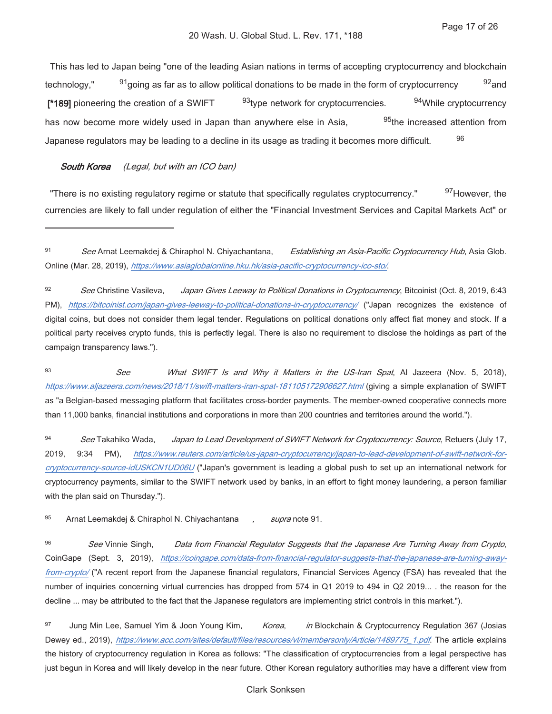This has led to Japan being "one of the leading Asian nations in terms of accepting cryptocurrency and blockchain  $92$  and technology,"  $91$ going as far as to allow political donations to be made in the form of cryptocurrency 94While cryptocurrency [\*189] pioneering the creation of a SWIFT <sup>93</sup>type network for cryptocurrencies. has now become more widely used in Japan than anywhere else in Asia. 95<sub>the increased attention from</sub> 96 Japanese regulators may be leading to a decline in its usage as trading it becomes more difficult.

#### **South Korea** (Legal, but with an ICO ban)

"There is no existing regulatory regime or statute that specifically regulates cryptocurrency." 97 However, the currencies are likely to fall under regulation of either the "Financial Investment Services and Capital Markets Act" or

 $93$ What SWIFT Is and Why it Matters in the US-Iran Spat, Al Jazeera (Nov. 5, 2018), See https://www.aljazeera.com/news/2018/11/swift-matters-iran-spat-181105172906627.html (giving a simple explanation of SWIFT as "a Belgian-based messaging platform that facilitates cross-border payments. The member-owned cooperative connects more than 11,000 banks, financial institutions and corporations in more than 200 countries and territories around the world.").

94 See Takahiko Wada. Japan to Lead Development of SWIFT Network for Cryptocurrency: Source, Retuers (July 17, 2019. https://www.reuters.com/article/us-japan-cryptocurrency/japan-to-lead-development-of-swift-network-for- $9:34$  PM), cryptocurrency-source-idUSKCN1UD06U ("Japan's government is leading a global push to set up an international network for cryptocurrency payments, similar to the SWIFT network used by banks, in an effort to fight money laundering, a person familiar with the plan said on Thursday.").

95 Arnat Leemakdej & Chiraphol N. Chiyachantana supra note 91.

96 See Vinnie Singh, Data from Financial Regulator Suggests that the Japanese Are Turning Away from Crypto, CoinGape (Sept. 3, 2019), https://coingape.com/data-from-financial-regulator-suggests-that-the-japanese-are-turning-awayfrom-crypto/ ("A recent report from the Japanese financial regulators, Financial Services Agency (FSA) has revealed that the number of inquiries concerning virtual currencies has dropped from 574 in Q1 2019 to 494 in Q2 2019... the reason for the decline ... may be attributed to the fact that the Japanese regulators are implementing strict controls in this market.").

97 Jung Min Lee, Samuel Yim & Joon Young Kim, Korea, in Blockchain & Cryptocurrency Regulation 367 (Josias Dewey ed., 2019), https://www.acc.com/sites/default/files/resources/vl/membersonly/Article/1489775\_1.pdf. The article explains the history of cryptocurrency regulation in Korea as follows: "The classification of cryptocurrencies from a legal perspective has just begun in Korea and will likely develop in the near future. Other Korean regulatory authorities may have a different view from

<sup>91</sup> See Arnat Leemakdej & Chiraphol N. Chiyachantana, Establishing an Asia-Pacific Cryptocurrency Hub, Asia Glob. Online (Mar. 28, 2019), https://www.asiaglobalonline.hku.hk/asia-pacific-cryptocurrency-ico-sto/.

<sup>92</sup> See Christine Vasileva. Japan Gives Leeway to Political Donations in Cryptocurrency, Bitcoinist (Oct. 8, 2019, 6:43 PM), https://bitcoinist.com/japan-gives-leeway-to-political-donations-in-cryptocurrency/ ("Japan recognizes the existence of digital coins, but does not consider them legal tender. Regulations on political donations only affect fiat money and stock. If a political party receives crypto funds, this is perfectly legal. There is also no requirement to disclose the holdings as part of the campaign transparency laws.").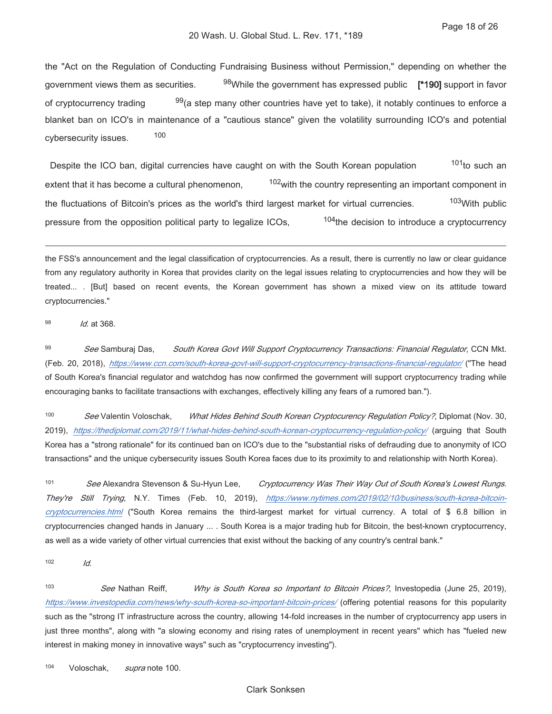the "Act on the Regulation of Conducting Fundraising Business without Permission," depending on whether the government views them as securities. <sup>98</sup>While the government has expressed public [\*190] support in favor  $99$ (a step many other countries have yet to take), it notably continues to enforce a of cryptocurrency trading blanket ban on ICO's in maintenance of a "cautious stance" given the volatility surrounding ICO's and potential 100 cybersecurity issues.

 $101$ <sub>to such an</sub> Despite the ICO ban, digital currencies have caught on with the South Korean population <sup>102</sup> with the country representing an important component in extent that it has become a cultural phenomenon, 103 With public the fluctuations of Bitcoin's prices as the world's third largest market for virtual currencies.  $104$ the decision to introduce a cryptocurrency pressure from the opposition political party to legalize ICOs.

the FSS's announcement and the legal classification of cryptocurrencies. As a result, there is currently no law or clear guidance from any regulatory authority in Korea that provides clarity on the legal issues relating to cryptocurrencies and how they will be treated... . [But] based on recent events, the Korean government has shown a mixed view on its attitude toward cryptocurrencies."

#### 98 Id. at 368.

99 South Korea Govt Will Support Cryptocurrency Transactions: Financial Regulator, CCN Mkt. See Samburaj Das, (Feb. 20, 2018), https://www.ccn.com/south-korea-govt-will-support-cryptocurrency-transactions-financial-regulator/ ("The head of South Korea's financial regulator and watchdog has now confirmed the government will support cryptocurrency trading while encouraging banks to facilitate transactions with exchanges, effectively killing any fears of a rumored ban.").

100 See Valentin Voloschak, What Hides Behind South Korean Cryptocurency Regulation Policy?, Diplomat (Nov. 30, 2019), https://thediplomat.com/2019/11/what-hides-behind-south-korean-cryptocurrency-regulation-policy/ (arguing that South Korea has a "strong rationale" for its continued ban on ICO's due to the "substantial risks of defrauding due to anonymity of ICO transactions" and the unique cybersecurity issues South Korea faces due to its proximity to and relationship with North Korea).

101 See Alexandra Stevenson & Su-Hyun Lee, Cryptocurrency Was Their Way Out of South Korea's Lowest Rungs. They're Still Trying, N.Y. Times (Feb. 10, 2019), https://www.nytimes.com/2019/02/10/business/south-korea-bitcoincryptocurrencies.htm/ ("South Korea remains the third-largest market for virtual currency. A total of \$ 6.8 billion in cryptocurrencies changed hands in January ... . South Korea is a major trading hub for Bitcoin, the best-known cryptocurrency, as well as a wide variety of other virtual currencies that exist without the backing of any country's central bank."

102

Id.

103 Why is South Korea so Important to Bitcoin Prices?, Investopedia (June 25, 2019), See Nathan Reiff. https://www.investopedia.com/news/why-south-korea-so-important-bitcoin-prices/ (offering potential reasons for this popularity such as the "strong IT infrastructure across the country, allowing 14-fold increases in the number of cryptocurrency app users in just three months", along with "a slowing economy and rising rates of unemployment in recent years" which has "fueled new interest in making money in innovative ways" such as "cryptocurrency investing").

104 supra note 100. Voloschak,

### **Clark Sonksen**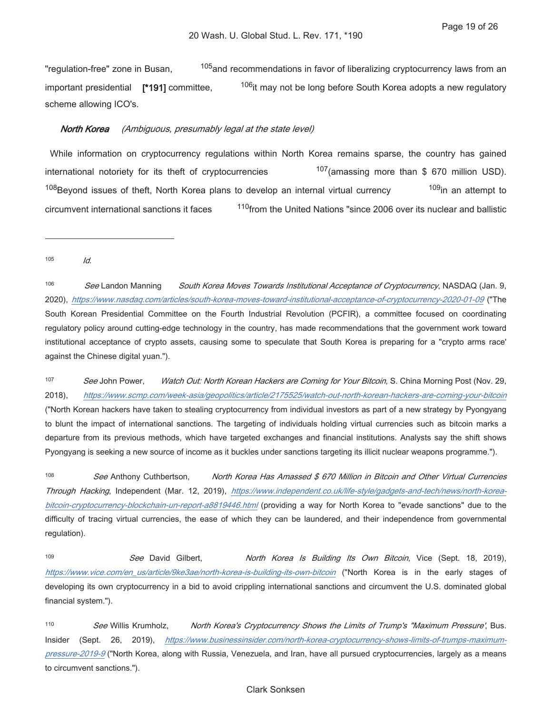"regulation-free" zone in Busan, <sup>105</sup> and recommendations in favor of liberalizing cryptocurrency laws from an <sup>106</sup>it may not be long before South Korea adopts a new regulatory important presidential [\*191] committee. scheme allowing ICO's.

#### North Korea (Ambiquous, presumably legal at the state level)

While information on cryptocurrency regulations within North Korea remains sparse, the country has gained 107 (amassing more than \$ 670 million USD). international notoriety for its theft of cryptocurrencies <sup>108</sup>Beyond issues of theft, North Korea plans to develop an internal virtual currency 109<sub>in</sub> an attempt to <sup>110</sup> from the United Nations "since 2006 over its nuclear and ballistic circumvent international sanctions it faces

105  $\overline{d}$ 

106 See Landon Manning South Korea Moves Towards Institutional Acceptance of Cryptocurrency, NASDAQ (Jan. 9, 2020), https://www.nasdaq.com/articles/south-korea-moves-toward-institutional-acceptance-of-cryptocurrency-2020-01-09 ("The South Korean Presidential Committee on the Fourth Industrial Revolution (PCFIR), a committee focused on coordinating regulatory policy around cutting-edge technology in the country, has made recommendations that the government work toward institutional acceptance of crypto assets, causing some to speculate that South Korea is preparing for a "crypto arms race' against the Chinese digital yuan.").

107 See John Power. Watch Out: North Korean Hackers are Coming for Your Bitcoin, S. China Morning Post (Nov. 29,  $2018$ ). https://www.scmp.com/week-asia/geopolitics/article/2175525/watch-out-north-korean-hackers-are-coming-your-bitcoin ("North Korean hackers have taken to stealing cryptocurrency from individual investors as part of a new strategy by Pyongyang to blunt the impact of international sanctions. The targeting of individuals holding virtual currencies such as bitcoin marks a departure from its previous methods, which have targeted exchanges and financial institutions. Analysts say the shift shows Pyongyang is seeking a new source of income as it buckles under sanctions targeting its illicit nuclear weapons programme.").

 $108$ North Korea Has Amassed \$ 670 Million in Bitcoin and Other Virtual Currencies See Anthony Cuthbertson, Through Hacking, Independent (Mar. 12, 2019), https://www.independent.co.uk/life-style/gadgets-and-tech/news/north-koreabitcoin-cryptocurrency-blockchain-un-report-a8819446.html (providing a way for North Korea to "evade sanctions" due to the difficulty of tracing virtual currencies, the ease of which they can be laundered, and their independence from governmental regulation).

109 See David Gilbert. North Korea Is Building Its Own Bitcoin, Vice (Sept. 18, 2019), https://www.vice.com/en\_us/article/9ke3ae/north-korea-is-building-its-own-bitcoin ("North Korea is in the early stages of developing its own cryptocurrency in a bid to avoid crippling international sanctions and circumvent the U.S. dominated global financial system.").

 $110$ See Willis Krumholz, North Korea's Cryptocurrency Shows the Limits of Trump's "Maximum Pressure', Bus. Insider (Sept. 26, 2019), https://www.businessinsider.com/north-korea-cryptocurrency-shows-limits-of-trumps-maximumpressure-2019-9 ("North Korea, along with Russia, Venezuela, and Iran, have all pursued cryptocurrencies, largely as a means to circumvent sanctions.").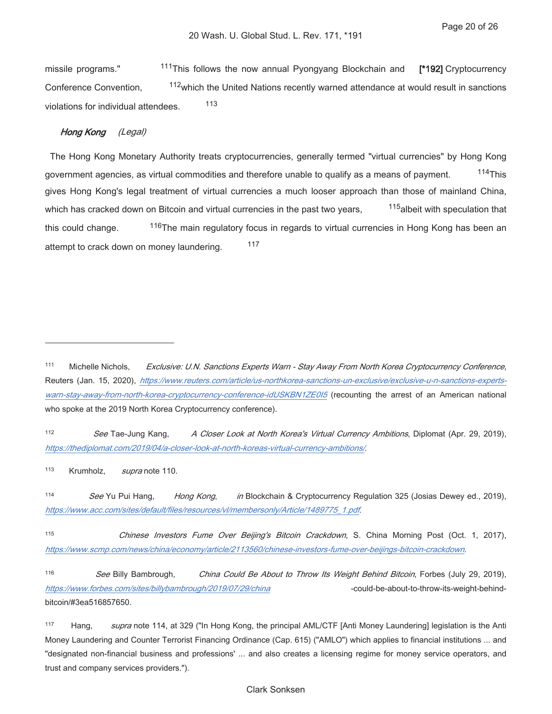<sup>111</sup>This follows the now annual Pyongyang Blockchain and missile programs." [\*192] Cryptocurrency <sup>112</sup> which the United Nations recently warned attendance at would result in sanctions Conference Convention, 113 violations for individual attendees.

# Hong Kong (Legal)

The Hong Kong Monetary Authority treats cryptocurrencies, generally termed "virtual currencies" by Hong Kong government agencies, as virtual commodities and therefore unable to qualify as a means of payment.  $114$ This gives Hong Kong's legal treatment of virtual currencies a much looser approach than those of mainland China, 115albeit with speculation that which has cracked down on Bitcoin and virtual currencies in the past two years, 116The main regulatory focus in regards to virtual currencies in Hong Kong has been an this could change. 117 attempt to crack down on money laundering.

 $112$ See Tae-Jung Kang, A Closer Look at North Korea's Virtual Currency Ambitions, Diplomat (Apr. 29, 2019), https://thediplomat.com/2019/04/a-closer-look-at-north-koreas-virtual-currency-ambitions/.

113 Krumholz. supra note 110.

 $114$ See Yu Pui Hang, in Blockchain & Cryptocurrency Regulation 325 (Josias Dewey ed., 2019), Hong Kong, https://www.acc.com/sites/default/files/resources/vl/membersonly/Article/1489775\_1.pdf.

115 Chinese Investors Fume Over Beijing's Bitcoin Crackdown, S. China Morning Post (Oct. 1, 2017), https://www.scmp.com/news/china/economy/article/2113560/chinese-investors-fume-over-beijings-bitcoin-crackdown.

116 See Billy Bambrough, China Could Be About to Throw Its Weight Behind Bitcoin, Forbes (July 29, 2019), https://www.forbes.com/sites/billybambrough/2019/07/29/china -could-be-about-to-throw-its-weight-behindbitcoin/#3ea516857650

117 supra note 114, at 329 ("In Hong Kong, the principal AML/CTF [Anti Money Laundering] legislation is the Anti Hang, Money Laundering and Counter Terrorist Financing Ordinance (Cap. 615) ("AMLO") which applies to financial institutions ... and "designated non-financial business and professions' ... and also creates a licensing regime for money service operators, and trust and company services providers.").

# **Clark Sonksen**

<sup>111</sup> Michelle Nichols. Exclusive: U.N. Sanctions Experts Warn - Stay Away From North Korea Cryptocurrency Conference, Reuters (Jan. 15, 2020), https://www.reuters.com/article/us-northkorea-sanctions-un-exclusive/exclusive-u-n-sanctions-expertswarn-stay-away-from-north-korea-cryptocurrency-conference-idUSKBN1ZE015 (recounting the arrest of an American national who spoke at the 2019 North Korea Cryptocurrency conference).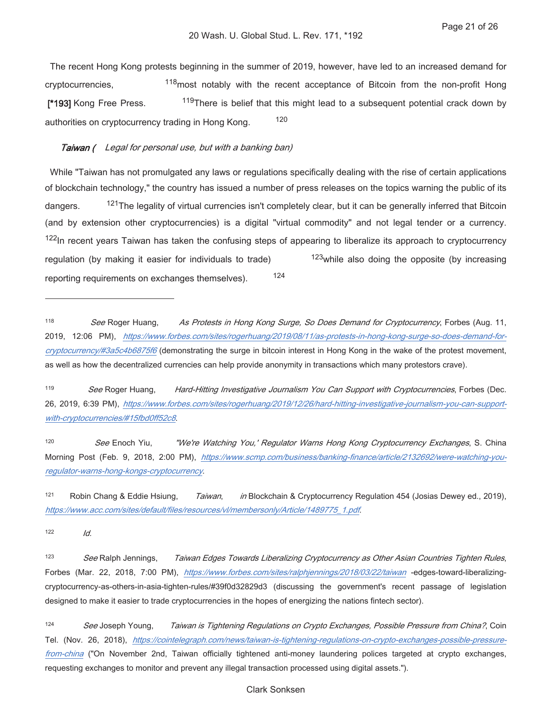The recent Hong Kong protests beginning in the summer of 2019, however, have led to an increased demand for <sup>118</sup>most notably with the recent acceptance of Bitcoin from the non-profit Hong cryptocurrencies, [\*193] Kong Free Press. <sup>119</sup>There is belief that this might lead to a subsequent potential crack down by 120 authorities on cryptocurrency trading in Hong Kong.

### Taiwan ( Legal for personal use, but with a banking ban)

While "Taiwan has not promulgated any laws or regulations specifically dealing with the rise of certain applications of blockchain technology," the country has issued a number of press releases on the topics warning the public of its <sup>121</sup>The legality of virtual currencies isn't completely clear, but it can be generally inferred that Bitcoin dangers. (and by extension other cryptocurrencies) is a digital "virtual commodity" and not legal tender or a currency. <sup>122</sup>In recent years Taiwan has taken the confusing steps of appearing to liberalize its approach to cryptocurrency  $123$  while also doing the opposite (by increasing regulation (by making it easier for individuals to trade) 124 reporting requirements on exchanges themselves).

119 See Roger Huang, Hard-Hitting Investigative Journalism You Can Support with Cryptocurrencies, Forbes (Dec. 26, 2019, 6:39 PM), https://www.forbes.com/sites/rogerhuang/2019/12/26/hard-hitting-investigative-journalism-you-can-supportwith-cryptocurrencies/#15fbd0ff52c8.

120 See Enoch Yiu. "We're Watching You,' Regulator Warns Hong Kong Cryptocurrency Exchanges, S. China Morning Post (Feb. 9, 2018, 2:00 PM), https://www.scmp.com/business/banking-finance/article/2132692/were-watching-youregulator-warns-hong-kongs-cryptocurrency.

 $121$ Robin Chang & Eddie Hsiung, in Blockchain & Cryptocurrency Regulation 454 (Josias Dewey ed., 2019), Taiwan. https://www.acc.com/sites/default/files/resources/vl/membersonly/Article/1489775\_1.pdf.

122

Id.

123 See Ralph Jennings, Taiwan Edges Towards Liberalizing Cryptocurrency as Other Asian Countries Tighten Rules, Forbes (Mar. 22, 2018, 7:00 PM), https://www.forbes.com/sites/ralphjennings/2018/03/22/taiwan -edges-toward-liberalizingcryptocurrency-as-others-in-asia-tighten-rules/#39f0d32829d3 (discussing the government's recent passage of legislation designed to make it easier to trade cryptocurrencies in the hopes of energizing the nations fintech sector).

124 See Joseph Young, Taiwan is Tightening Regulations on Crypto Exchanges, Possible Pressure from China?, Coin Tel. (Nov. 26, 2018), https://cointelegraph.com/news/taiwan-is-tightening-regulations-on-crypto-exchanges-possible-pressurefrom-china ("On November 2nd, Taiwan officially tightened anti-money laundering polices targeted at crypto exchanges, requesting exchanges to monitor and prevent any illegal transaction processed using digital assets.").

<sup>118</sup> As Protests in Hong Kong Surge, So Does Demand for Cryptocurrency, Forbes (Aug. 11, See Roger Huang, 2019, 12:06 PM), https://www.forbes.com/sites/rogerhuang/2019/08/11/as-protests-in-hong-kong-surge-so-does-demand-forcryptocurrency/#3a5c4b6875f6 (demonstrating the surge in bitcoin interest in Hong Kong in the wake of the protest movement, as well as how the decentralized currencies can help provide anonymity in transactions which many protestors crave).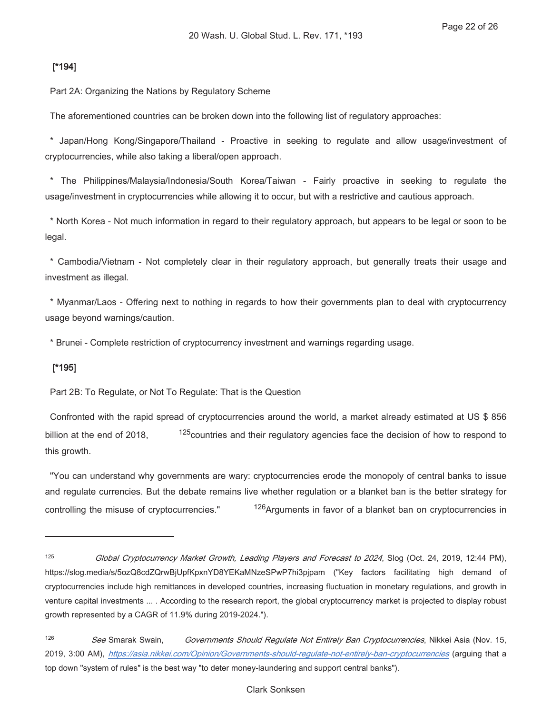# $[1194]$

Part 2A: Organizing the Nations by Regulatory Scheme

The aforementioned countries can be broken down into the following list of regulatory approaches:

\* Japan/Hong Kong/Singapore/Thailand - Proactive in seeking to regulate and allow usage/investment of cryptocurrencies, while also taking a liberal/open approach.

\* The Philippines/Malaysia/Indonesia/South Korea/Taiwan - Fairly proactive in seeking to regulate the usage/investment in cryptocurrencies while allowing it to occur, but with a restrictive and cautious approach.

\* North Korea - Not much information in regard to their regulatory approach, but appears to be legal or soon to be legal.

\* Cambodia/Vietnam - Not completely clear in their regulatory approach, but generally treats their usage and investment as illegal.

\* Myanmar/Laos - Offering next to nothing in regards to how their governments plan to deal with cryptocurrency usage beyond warnings/caution.

\* Brunei - Complete restriction of cryptocurrency investment and warnings regarding usage.

# $[^*195]$

Part 2B: To Regulate, or Not To Regulate: That is the Question

Confronted with the rapid spread of cryptocurrencies around the world, a market already estimated at US \$ 856 <sup>125</sup> countries and their regulatory agencies face the decision of how to respond to billion at the end of 2018. this growth.

"You can understand why governments are wary: cryptocurrencies erode the monopoly of central banks to issue and regulate currencies. But the debate remains live whether regulation or a blanket ban is the better strategy for <sup>126</sup> Arguments in favor of a blanket ban on cryptocurrencies in controlling the misuse of cryptocurrencies."

<sup>125</sup> Global Cryptocurrency Market Growth, Leading Players and Forecast to 2024, Slog (Oct. 24, 2019, 12:44 PM), https://slog.media/s/5ozQ8cdZQrwBjUpfKpxnYD8YEKaMNzeSPwP7hi3pjpam ("Key factors facilitating high demand of cryptocurrencies include high remittances in developed countries, increasing fluctuation in monetary regulations, and growth in venture capital investments ... . According to the research report, the global cryptocurrency market is projected to display robust growth represented by a CAGR of 11.9% during 2019-2024.").

 $126$ See Smarak Swain, Governments Should Regulate Not Entirely Ban Cryptocurrencies, Nikkei Asia (Nov. 15, 2019, 3:00 AM), https://asia.nikkei.com/Opinion/Governments-should-requlate-not-entirely-ban-cryptocurrencies (arquinq that a top down "system of rules" is the best way "to deter money-laundering and support central banks").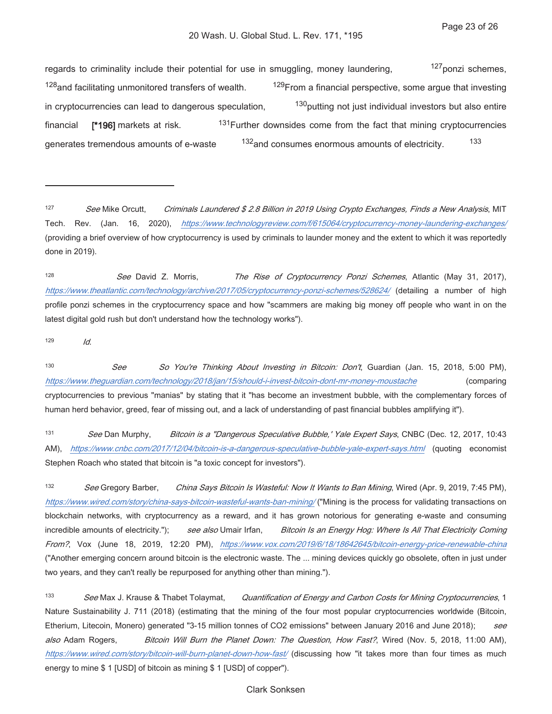127 ponzi schemes, regards to criminality include their potential for use in smuggling, money laundering, <sup>128</sup> and facilitating unmonitored transfers of wealth. <sup>129</sup> From a financial perspective, some arque that investing <sup>130</sup> putting not just individual investors but also entire in cryptocurrencies can lead to dangerous speculation, <sup>131</sup> Further downsides come from the fact that mining cryptocurrencies financial [\*196] markets at risk. 133 132 and consumes enormous amounts of electricity. generates tremendous amounts of e-waste

128 See David Z. Morris. The Rise of Cryptocurrency Ponzi Schemes, Atlantic (May 31, 2017), https://www.theatlantic.com/technology/archive/2017/05/cryptocurrency-ponzi-schemes/528624/ (detailing a number of high profile ponzi schemes in the cryptocurrency space and how "scammers are making big money off people who want in on the latest digital gold rush but don't understand how the technology works").

129  $Id.$ 

130 See So You're Thinking About Investing in Bitcoin: Don't, Guardian (Jan. 15, 2018, 5:00 PM), https://www.theguardian.com/technology/2018/jan/15/should-i-invest-bitcoin-dont-mr-money-moustache (comparing cryptocurrencies to previous "manias" by stating that it "has become an investment bubble, with the complementary forces of human herd behavior, greed, fear of missing out, and a lack of understanding of past financial bubbles amplifying it").

131 Bitcoin is a "Dangerous Speculative Bubble,' Yale Expert Says, CNBC (Dec. 12, 2017, 10:43 See Dan Murphy, AM), https://www.cnbc.com/2017/12/04/bitcoin-is-a-dangerous-speculative-bubble-yale-expert-says.htm/ (quoting economist Stephen Roach who stated that bitcoin is "a toxic concept for investors").

132 See Gregory Barber, China Says Bitcoin Is Wasteful: Now It Wants to Ban Mining, Wired (Apr. 9, 2019, 7:45 PM), https://www.wired.com/story/china-says-bitcoin-wasteful-wants-ban-mining/ ("Mining is the process for validating transactions on blockchain networks, with cryptocurrency as a reward, and it has grown notorious for generating e-waste and consuming incredible amounts of electricity."); see also Umair Irfan, Bitcoin Is an Energy Hog: Where Is All That Electricity Coming From?, Vox (June 18, 2019, 12:20 PM), https://www.vox.com/2019/6/18/18642645/bitcoin-energy-price-renewable-china ("Another emerging concern around bitcoin is the electronic waste. The ... mining devices quickly go obsolete, often in just under two years, and they can't really be repurposed for anything other than mining.").

133 See Max J. Krause & Thabet Tolaymat, Quantification of Energy and Carbon Costs for Mining Cryptocurrencies, 1 Nature Sustainability J. 711 (2018) (estimating that the mining of the four most popular cryptocurrencies worldwide (Bitcoin, Etherium, Litecoin, Monero) generated "3-15 million tonnes of CO2 emissions" between January 2016 and June 2018); see also Adam Rogers, Bitcoin Will Burn the Planet Down: The Question, How Fast?, Wired (Nov. 5, 2018, 11:00 AM), https://www.wired.com/story/bitcoin-will-burn-planet-down-how-fast/ (discussing how "it takes more than four times as much energy to mine \$ 1 [USD] of bitcoin as mining \$ 1 [USD] of copper").

### **Clark Sonksen**

<sup>127</sup> See Mike Orcutt, Criminals Laundered \$2.8 Billion in 2019 Using Crypto Exchanges, Finds a New Analysis, MIT Tech. Rev. (Jan. 16, 2020), https://www.technologyreview.com/f/615064/cryptocurrency-money-laundering-exchanges/ (providing a brief overview of how cryptocurrency is used by criminals to launder money and the extent to which it was reportedly done in 2019).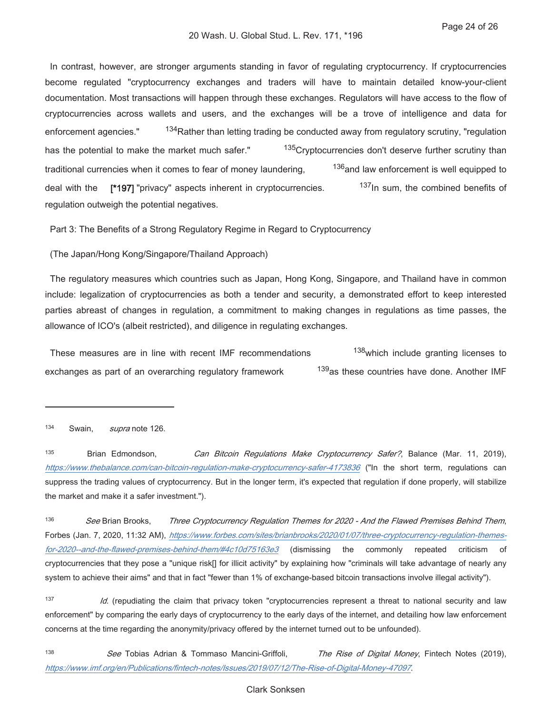In contrast, however, are stronger arguments standing in favor of regulating cryptocurrency. If cryptocurrencies become regulated "cryptocurrency exchanges and traders will have to maintain detailed know-your-client documentation. Most transactions will happen through these exchanges. Regulators will have access to the flow of cryptocurrencies across wallets and users, and the exchanges will be a trove of intelligence and data for <sup>134</sup> Rather than letting trading be conducted away from regulatory scrutiny, "regulation enforcement agencies." 135Crvptocurrencies don't deserve further scrutiny than has the potential to make the market much safer." <sup>136</sup> and law enforcement is well equipped to traditional currencies when it comes to fear of money laundering, <sup>137</sup>In sum, the combined benefits of deal with the [\*197] "privacy" aspects inherent in cryptocurrencies. regulation outweigh the potential negatives.

Part 3: The Benefits of a Strong Regulatory Regime in Regard to Cryptocurrency

(The Japan/Hong Kong/Singapore/Thailand Approach)

The regulatory measures which countries such as Japan, Hong Kong, Singapore, and Thailand have in common include: legalization of cryptocurrencies as both a tender and security, a demonstrated effort to keep interested parties abreast of changes in regulation, a commitment to making changes in regulations as time passes, the allowance of ICO's (albeit restricted), and diligence in regulating exchanges.

138which include granting licenses to These measures are in line with recent IMF recommendations <sup>139</sup>as these countries have done. Another IMF exchanges as part of an overarching regulatory framework

134 Swain. supra note 126.

135 Brian Edmondson. Can Bitcoin Regulations Make Cryptocurrency Safer?, Balance (Mar. 11, 2019), https://www.thebalance.com/can-bitcoin-regulation-make-cryptocurrency-safer-4173836 ("In the short term, regulations can suppress the trading values of cryptocurrency. But in the longer term, it's expected that regulation if done properly, will stabilize the market and make it a safer investment.").

136 See Brian Brooks. Three Cryptocurrency Regulation Themes for 2020 - And the Flawed Premises Behind Them, Forbes (Jan. 7, 2020, 11:32 AM), https://www.forbes.com/sites/brianbrooks/2020/01/07/three-cryptocurrency-regulation-themesfor-2020--and-the-flawed-premises-behind-them/#4c10d75163e3 (dismissing the commonly repeated criticism of cryptocurrencies that they pose a "unique risk[] for illicit activity" by explaining how "criminals will take advantage of nearly any system to achieve their aims" and that in fact "fewer than 1% of exchange-based bitcoin transactions involve illegal activity").

137 Id. (repudiating the claim that privacy token "cryptocurrencies represent a threat to national security and law enforcement" by comparing the early days of cryptocurrency to the early days of the internet, and detailing how law enforcement concerns at the time regarding the anonymity/privacy offered by the internet turned out to be unfounded).

138 See Tobias Adrian & Tommaso Mancini-Griffoli, The Rise of Digital Money, Fintech Notes (2019), https://www.imf.org/en/Publications/fintech-notes/Issues/2019/07/12/The-Rise-of-Digital-Money-47097.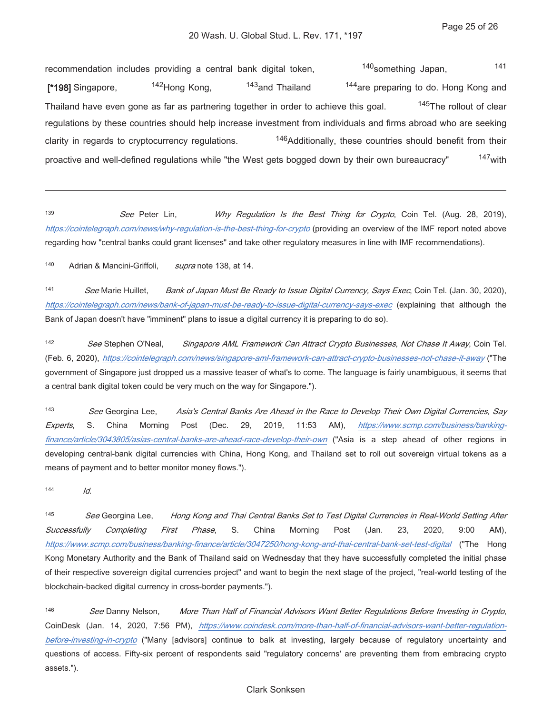<sup>140</sup>something Japan, 141 recommendation includes providing a central bank digital token, <sup>143</sup>and Thailand 144 are preparing to do. Hong Kong and <sup>142</sup>Hong Kong. [\*198] Singapore, <sup>145</sup>The rollout of clear Thailand have even gone as far as partnering together in order to achieve this goal. regulations by these countries should help increase investment from individuals and firms abroad who are seeking <sup>146</sup>Additionally, these countries should benefit from their clarity in regards to cryptocurrency regulations. 147<sub>with</sub> proactive and well-defined regulations while "the West gets bogged down by their own bureaucracy"

139 See Peter Lin. Why Regulation Is the Best Thing for Crypto, Coin Tel. (Aug. 28, 2019), https://cointelegraph.com/news/why-regulation-is-the-best-thing-for-crypto (providing an overview of the IMF report noted above regarding how "central banks could grant licenses" and take other regulatory measures in line with IMF recommendations).

140 Adrian & Mancini-Griffoli, supra note 138, at 14.

141 See Marie Huillet. Bank of Japan Must Be Ready to Issue Digital Currency, Says Exec, Coin Tel. (Jan. 30, 2020). https://cointelegraph.com/news/bank-of-japan-must-be-ready-to-issue-digital-currency-says-exec (explaining that although the Bank of Japan doesn't have "imminent" plans to issue a digital currency it is preparing to do so).

142 See Stephen O'Neal, Singapore AML Framework Can Attract Crypto Businesses, Not Chase It Away, Coin Tel. (Feb. 6, 2020), https://cointelegraph.com/news/singapore-aml-framework-can-attract-crypto-businesses-not-chase-it-away ("The government of Singapore just dropped us a massive teaser of what's to come. The language is fairly unambiguous, it seems that a central bank digital token could be very much on the way for Singapore.").

143 See Georgina Lee, Asia's Central Banks Are Ahead in the Race to Develop Their Own Digital Currencies, Say Experts,  $\mathcal{S}$ China Morning Post (Dec. 29. 2019. 11:53  $AM$ ), https://www.scmp.com/business/bankingfinance/article/3043805/asias-central-banks-are-ahead-race-develop-their-own ("Asia is a step ahead of other regions in developing central-bank digital currencies with China, Hong Kong, and Thailand set to roll out sovereign virtual tokens as a means of payment and to better monitor money flows.").

144

 $\overline{M}$ 

145 Hong Kong and Thai Central Banks Set to Test Digital Currencies in Real-World Setting After See Georgina Lee, Successfully Completing First Phase, S. China Morning Post (Jan. 23. 2020.  $9:00$  $AM$ ), https://www.scmp.com/business/banking-finance/article/3047250/hong-kong-and-thai-central-bank-set-test-digital ("The Hong Kong Monetary Authority and the Bank of Thailand said on Wednesday that they have successfully completed the initial phase of their respective sovereign digital currencies project" and want to begin the next stage of the project, "real-world testing of the blockchain-backed digital currency in cross-border payments.").

146 See Danny Nelson, More Than Half of Financial Advisors Want Better Regulations Before Investing in Crypto, CoinDesk (Jan. 14, 2020, 7:56 PM), https://www.coindesk.com/more-than-half-of-financial-advisors-want-better-regulationbefore-investing-in-crypto ("Many [advisors] continue to balk at investing, largely because of regulatory uncertainty and questions of access. Fifty-six percent of respondents said "regulatory concerns' are preventing them from embracing crypto assets.").